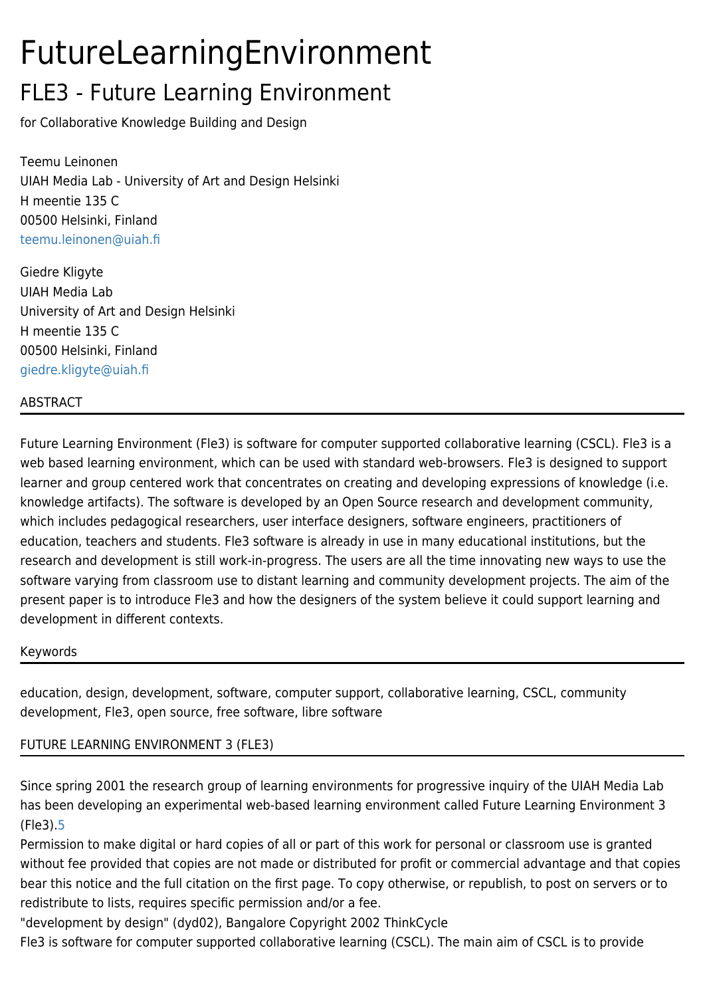# FutureLearningEnvironment

### FLE3 - Future Learning Environment

for Collaborative Knowledge Building and Design

Teemu Leinonen UIAH Media Lab - University of Art and Design Helsinki H meentie 135 C 00500 Helsinki, Finland [teemu.leinonen@uiah.fi](mailto:teemu.leinonen@uiah.fi)

Giedre Kligyte UIAH Media Lab University of Art and Design Helsinki H meentie 135 C 00500 Helsinki, Finland [giedre.kligyte@uiah.fi](mailto:giedre.kligyte@uiah.fi)

### ABSTRACT

Future Learning Environment (Fle3) is software for computer supported collaborative learning (CSCL). Fle3 is a web based learning environment, which can be used with standard web-browsers. Fle3 is designed to support learner and group centered work that concentrates on creating and developing expressions of knowledge (i.e. knowledge artifacts). The software is developed by an Open Source research and development community, which includes pedagogical researchers, user interface designers, software engineers, practitioners of education, teachers and students. Fle3 software is already in use in many educational institutions, but the research and development is still work-in-progress. The users are all the time innovating new ways to use the software varying from classroom use to distant learning and community development projects. The aim of the present paper is to introduce Fle3 and how the designers of the system believe it could support learning and development in different contexts.

#### Keywords

education, design, development, software, computer support, collaborative learning, CSCL, community development, Fle3, open source, free software, libre software

### FUTURE LEARNING ENVIRONMENT 3 (FLE3)

Since spring 2001 the research group of learning environments for progressive inquiry of the UIAH Media Lab has been developing an experimental web-based learning environment called Future Learning Environment 3 (Fle3).[5](https://tiki.org/5)

Permission to make digital or hard copies of all or part of this work for personal or classroom use is granted without fee provided that copies are not made or distributed for profit or commercial advantage and that copies bear this notice and the full citation on the first page. To copy otherwise, or republish, to post on servers or to redistribute to lists, requires specific permission and/or a fee.

"development by design" (dyd02), Bangalore Copyright 2002 ThinkCycle

Fle3 is software for computer supported collaborative learning (CSCL). The main aim of CSCL is to provide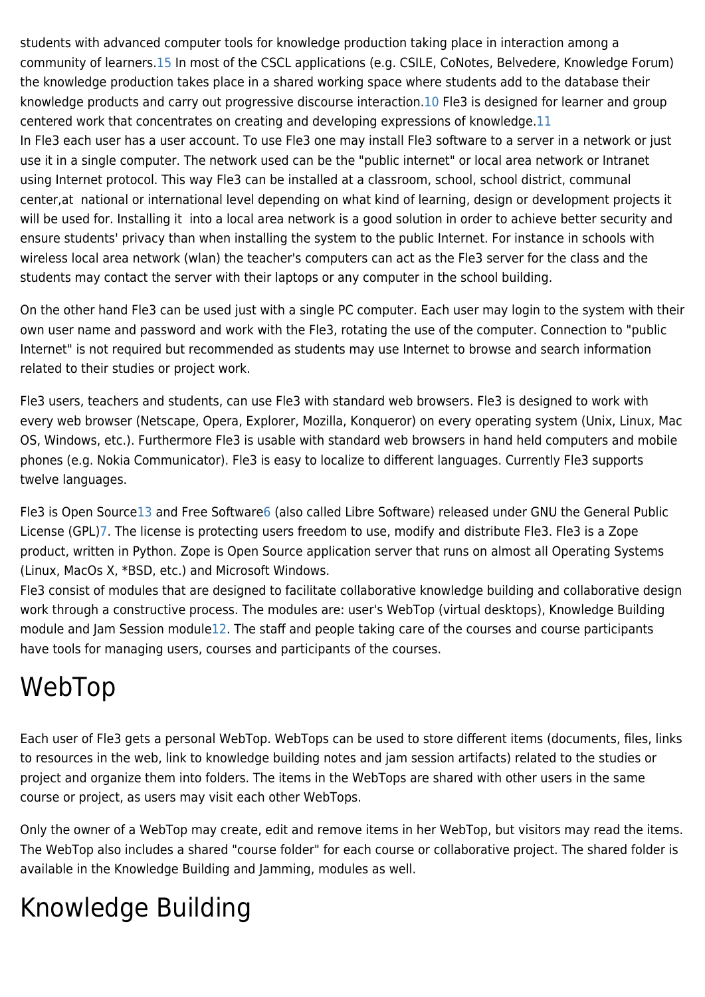students with advanced computer tools for knowledge production taking place in interaction among a community of learners[.15](https://tiki.org/15) In most of the CSCL applications (e.g. CSILE, CoNotes, Belvedere, Knowledge Forum) the knowledge production takes place in a shared working space where students add to the database their knowledge products and carry out progressive discourse interaction[.10](https://tiki.org/10) Fle3 is designed for learner and group centered work that concentrates on creating and developing expressions of knowledge[.11](https://tiki.org/11) In Fle3 each user has a user account. To use Fle3 one may install Fle3 software to a server in a network or just use it in a single computer. The network used can be the "public internet" or local area network or Intranet using Internet protocol. This way Fle3 can be installed at a classroom, school, school district, communal center,at national or international level depending on what kind of learning, design or development projects it will be used for. Installing it into a local area network is a good solution in order to achieve better security and ensure students' privacy than when installing the system to the public Internet. For instance in schools with wireless local area network (wlan) the teacher's computers can act as the Fle3 server for the class and the students may contact the server with their laptops or any computer in the school building.

On the other hand Fle3 can be used just with a single PC computer. Each user may login to the system with their own user name and password and work with the Fle3, rotating the use of the computer. Connection to "public Internet" is not required but recommended as students may use Internet to browse and search information related to their studies or project work.

Fle3 users, teachers and students, can use Fle3 with standard web browsers. Fle3 is designed to work with every web browser (Netscape, Opera, Explorer, Mozilla, Konqueror) on every operating system (Unix, Linux, Mac OS, Windows, etc.). Furthermore Fle3 is usable with standard web browsers in hand held computers and mobile phones (e.g. Nokia Communicator). Fle3 is easy to localize to different languages. Currently Fle3 supports twelve languages.

Fle3 is Open Source[13](https://tiki.org/13) and Free Software[6](https://tiki.org/6) (also called Libre Software) released under GNU the General Public License (GPL[\)7.](https://tiki.org/7) The license is protecting users freedom to use, modify and distribute Fle3. Fle3 is a Zope product, written in Python. Zope is Open Source application server that runs on almost all Operating Systems (Linux, MacOs X, \*BSD, etc.) and Microsoft Windows.

Fle3 consist of modules that are designed to facilitate collaborative knowledge building and collaborative design work through a constructive process. The modules are: user's WebTop (virtual desktops), Knowledge Building module and Jam Session module[12](https://tiki.org/12). The staff and people taking care of the courses and course participants have tools for managing users, courses and participants of the courses.

### WebTop

Each user of Fle3 gets a personal WebTop. WebTops can be used to store different items (documents, files, links to resources in the web, link to knowledge building notes and jam session artifacts) related to the studies or project and organize them into folders. The items in the WebTops are shared with other users in the same course or project, as users may visit each other WebTops.

Only the owner of a WebTop may create, edit and remove items in her WebTop, but visitors may read the items. The WebTop also includes a shared "course folder" for each course or collaborative project. The shared folder is available in the Knowledge Building and Jamming, modules as well.

# Knowledge Building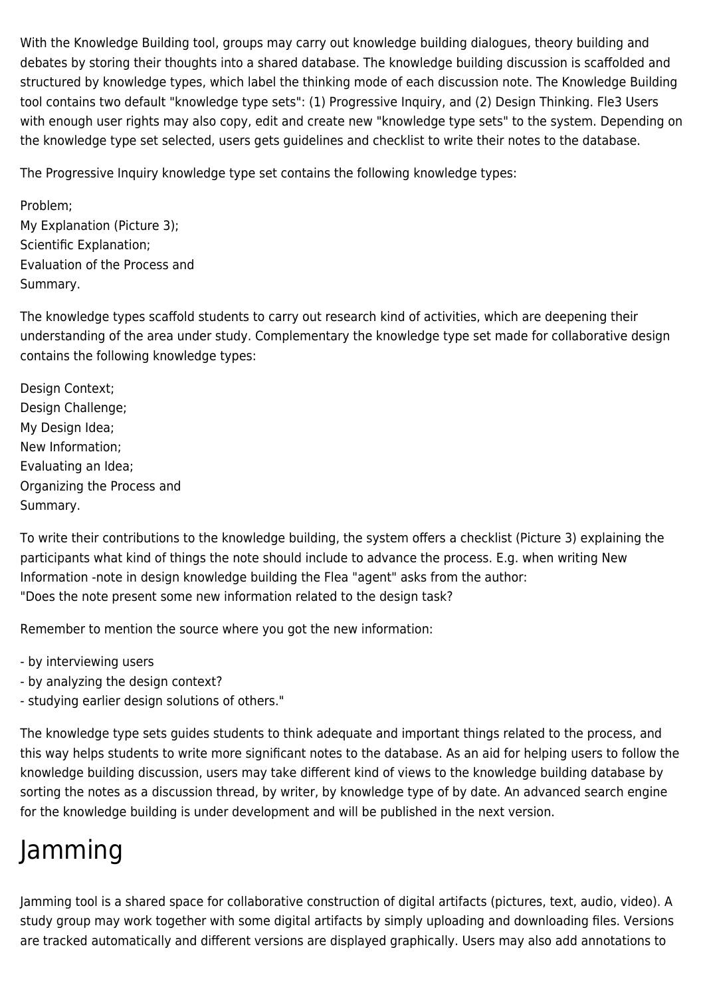With the Knowledge Building tool, groups may carry out knowledge building dialogues, theory building and debates by storing their thoughts into a shared database. The knowledge building discussion is scaffolded and structured by knowledge types, which label the thinking mode of each discussion note. The Knowledge Building tool contains two default "knowledge type sets": (1) Progressive Inquiry, and (2) Design Thinking. Fle3 Users with enough user rights may also copy, edit and create new "knowledge type sets" to the system. Depending on the knowledge type set selected, users gets guidelines and checklist to write their notes to the database.

The Progressive Inquiry knowledge type set contains the following knowledge types:

Problem; My Explanation (Picture 3); Scientific Explanation; Evaluation of the Process and Summary.

The knowledge types scaffold students to carry out research kind of activities, which are deepening their understanding of the area under study. Complementary the knowledge type set made for collaborative design contains the following knowledge types:

Design Context; Design Challenge; My Design Idea; New Information; Evaluating an Idea; Organizing the Process and Summary.

To write their contributions to the knowledge building, the system offers a checklist (Picture 3) explaining the participants what kind of things the note should include to advance the process. E.g. when writing New Information -note in design knowledge building the Flea "agent" asks from the author: "Does the note present some new information related to the design task?

Remember to mention the source where you got the new information:

- by interviewing users

- by analyzing the design context?
- studying earlier design solutions of others."

The knowledge type sets guides students to think adequate and important things related to the process, and this way helps students to write more significant notes to the database. As an aid for helping users to follow the knowledge building discussion, users may take different kind of views to the knowledge building database by sorting the notes as a discussion thread, by writer, by knowledge type of by date. An advanced search engine for the knowledge building is under development and will be published in the next version.

## Jamming

Jamming tool is a shared space for collaborative construction of digital artifacts (pictures, text, audio, video). A study group may work together with some digital artifacts by simply uploading and downloading files. Versions are tracked automatically and different versions are displayed graphically. Users may also add annotations to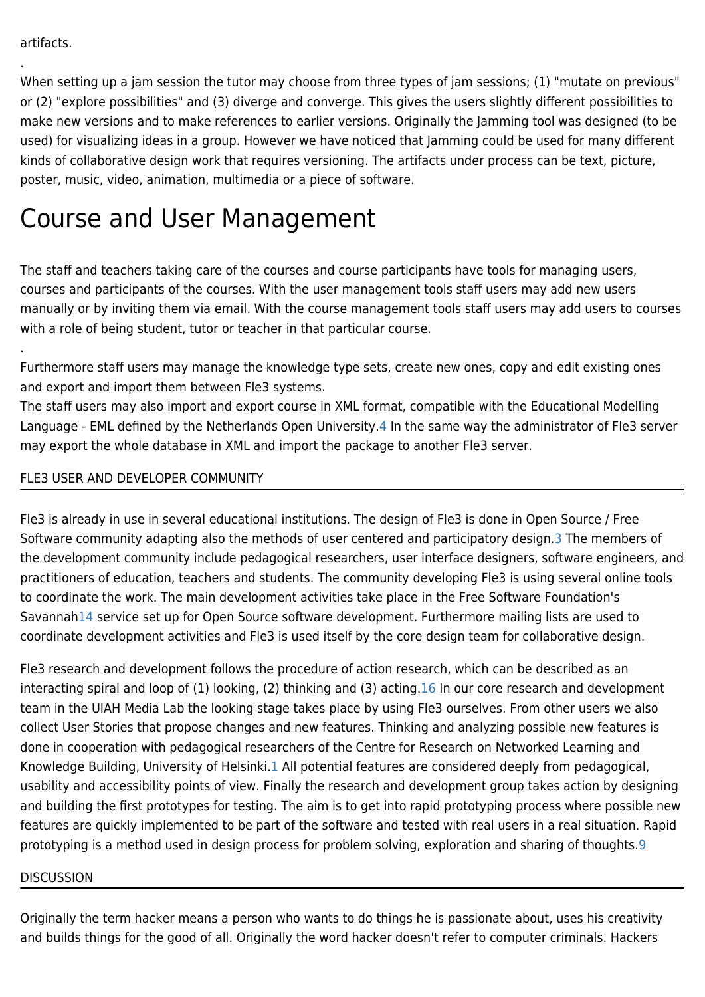.

.

When setting up a jam session the tutor may choose from three types of jam sessions; (1) "mutate on previous" or (2) "explore possibilities" and (3) diverge and converge. This gives the users slightly different possibilities to make new versions and to make references to earlier versions. Originally the Jamming tool was designed (to be used) for visualizing ideas in a group. However we have noticed that Jamming could be used for many different kinds of collaborative design work that requires versioning. The artifacts under process can be text, picture, poster, music, video, animation, multimedia or a piece of software.

### Course and User Management

The staff and teachers taking care of the courses and course participants have tools for managing users, courses and participants of the courses. With the user management tools staff users may add new users manually or by inviting them via email. With the course management tools staff users may add users to courses with a role of being student, tutor or teacher in that particular course.

Furthermore staff users may manage the knowledge type sets, create new ones, copy and edit existing ones and export and import them between Fle3 systems.

The staff users may also import and export course in XML format, compatible with the Educational Modelling Language - EML defined by the Netherlands Open University[.4](https://tiki.org/4) In the same way the administrator of Fle3 server may export the whole database in XML and import the package to another Fle3 server.

### FLE3 USER AND DEVELOPER COMMUNITY

Fle3 is already in use in several educational institutions. The design of Fle3 is done in Open Source / Free Software community adapting also the methods of user centered and participatory design[.3](https://tiki.org/3) The members of the development community include pedagogical researchers, user interface designers, software engineers, and practitioners of education, teachers and students. The community developing Fle3 is using several online tools to coordinate the work. The main development activities take place in the Free Software Foundation's Savanna[h14](https://tiki.org/14) service set up for Open Source software development. Furthermore mailing lists are used to coordinate development activities and Fle3 is used itself by the core design team for collaborative design.

Fle3 research and development follows the procedure of action research, which can be described as an interacting spiral and loop of (1) looking, (2) thinking and (3) acting.[16](https://tiki.org/16) In our core research and development team in the UIAH Media Lab the looking stage takes place by using Fle3 ourselves. From other users we also collect User Stories that propose changes and new features. Thinking and analyzing possible new features is done in cooperation with pedagogical researchers of the Centre for Research on Networked Learning and Knowledge Building, University of Helsinki.[1](https://tiki.org/1) All potential features are considered deeply from pedagogical, usability and accessibility points of view. Finally the research and development group takes action by designing and building the first prototypes for testing. The aim is to get into rapid prototyping process where possible new features are quickly implemented to be part of the software and tested with real users in a real situation. Rapid prototyping is a method used in design process for problem solving, exploration and sharing of thoughts[.9](https://tiki.org/9)

#### **DISCUSSION**

Originally the term hacker means a person who wants to do things he is passionate about, uses his creativity and builds things for the good of all. Originally the word hacker doesn't refer to computer criminals. Hackers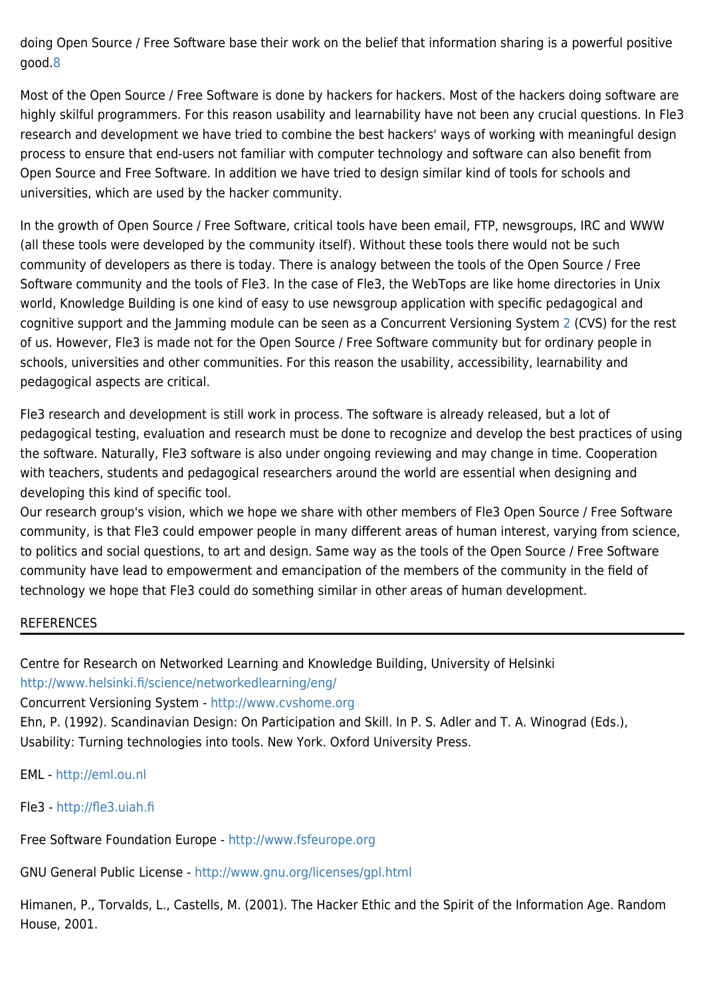doing Open Source / Free Software base their work on the belief that information sharing is a powerful positive good.[8](https://tiki.org/8)

Most of the Open Source / Free Software is done by hackers for hackers. Most of the hackers doing software are highly skilful programmers. For this reason usability and learnability have not been any crucial questions. In Fle3 research and development we have tried to combine the best hackers' ways of working with meaningful design process to ensure that end-users not familiar with computer technology and software can also benefit from Open Source and Free Software. In addition we have tried to design similar kind of tools for schools and universities, which are used by the hacker community.

In the growth of Open Source / Free Software, critical tools have been email, FTP, newsgroups, IRC and WWW (all these tools were developed by the community itself). Without these tools there would not be such community of developers as there is today. There is analogy between the tools of the Open Source / Free Software community and the tools of Fle3. In the case of Fle3, the WebTops are like home directories in Unix world, Knowledge Building is one kind of easy to use newsgroup application with specific pedagogical and cognitive support and the Jamming module can be seen as a Concurrent Versioning System [2](https://tiki.org/2) (CVS) for the rest of us. However, Fle3 is made not for the Open Source / Free Software community but for ordinary people in schools, universities and other communities. For this reason the usability, accessibility, learnability and pedagogical aspects are critical.

Fle3 research and development is still work in process. The software is already released, but a lot of pedagogical testing, evaluation and research must be done to recognize and develop the best practices of using the software. Naturally, Fle3 software is also under ongoing reviewing and may change in time. Cooperation with teachers, students and pedagogical researchers around the world are essential when designing and developing this kind of specific tool.

Our research group's vision, which we hope we share with other members of Fle3 Open Source / Free Software community, is that Fle3 could empower people in many different areas of human interest, varying from science, to politics and social questions, to art and design. Same way as the tools of the Open Source / Free Software community have lead to empowerment and emancipation of the members of the community in the field of technology we hope that Fle3 could do something similar in other areas of human development.

#### **REFERENCES**

Centre for Research on Networked Learning and Knowledge Building, University of Helsinki <http://www.helsinki.fi/science/networkedlearning/eng/>

Concurrent Versioning System - <http://www.cvshome.org>

Ehn, P. (1992). Scandinavian Design: On Participation and Skill. In P. S. Adler and T. A. Winograd (Eds.), Usability: Turning technologies into tools. New York. Oxford University Press.

EML -<http://eml.ou.nl>

Fle3 - <http://fle3.uiah.fi>

Free Software Foundation Europe - <http://www.fsfeurope.org>

GNU General Public License - <http://www.gnu.org/licenses/gpl.html>

Himanen, P., Torvalds, L., Castells, M. (2001). The Hacker Ethic and the Spirit of the Information Age. Random House, 2001.